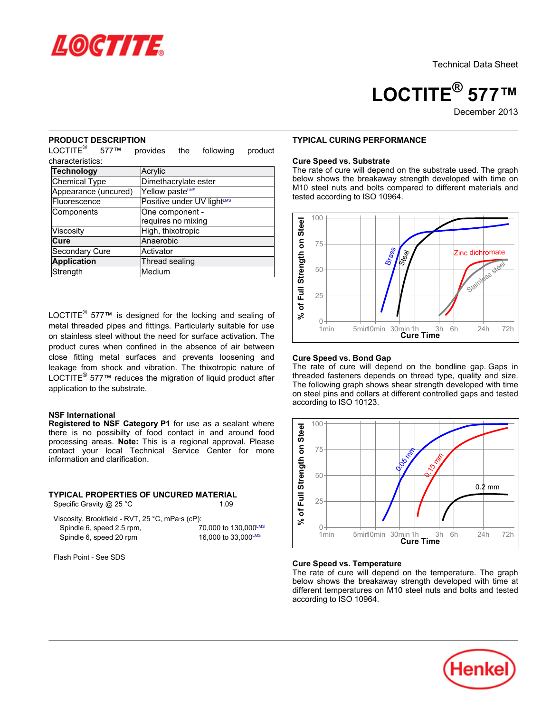

**LOCTITE® 577™**

December 2013

#### **PRODUCT DESCRIPTION**

LOCTITE<sup>®</sup> 577™ provides the following product characteristics:

| Technology           | Acrylic                                |
|----------------------|----------------------------------------|
| <b>Chemical Type</b> | Dimethacrylate ester                   |
| Appearance (uncured) | Yellow pasteLMS                        |
| Fluorescence         | Positive under UV light <sup>LMS</sup> |
| Components           | One component -                        |
|                      | requires no mixing                     |
| Viscosity            | High, thixotropic                      |
| Cure                 | Anaerobic                              |
| Secondary Cure       | Activator                              |
| <b>Application</b>   | Thread sealing                         |
| Strength             | Medium                                 |

LOCTITE $^{\circledR}$  577<sup> $m$ </sup> is designed for the locking and sealing of metal threaded pipes and fittings. Particularly suitable for use on stainless steel without the need for surface activation. The product cures when confined in the absence of air between close fitting metal surfaces and prevents loosening and leakage from shock and vibration. The thixotropic nature of LOCTITE<sup>®</sup> 577™ reduces the migration of liquid product after application to the substrate.

## **NSF International**

**Registered to NSF Category P1** for use as a sealant where there is no possibilty of food contact in and around food processing areas. **Note:** This is a regional approval. Please contact your local Technical Service Center for more information and clarification.

# **TYPICAL PROPERTIES OF UNCURED MATERIAL**

| Specific Gravity $@$ 25 °C | 1.09 |  |  |  |  |  |
|----------------------------|------|--|--|--|--|--|
|----------------------------|------|--|--|--|--|--|

| S |  |  |  |
|---|--|--|--|
|   |  |  |  |

| Viscosity, Brookfield - RVT, 25 °C, mPa·s (cP): |                      |
|-------------------------------------------------|----------------------|
| Spindle 6, speed 2.5 rpm,                       | 70,000 to 130,000LMS |
| Spindle 6, speed 20 rpm                         | 16,000 to 33,000LMS  |

Flash Point - See SDS

## **TYPICAL CURING PERFORMANCE**

#### **Cure Speed vs. Substrate**

The rate of cure will depend on the substrate used. The graph below shows the breakaway strength developed with time on M10 steel nuts and bolts compared to different materials and tested according to ISO 10964.



#### **Cure Speed vs. Bond Gap**

The rate of cure will depend on the bondline gap. Gaps in threaded fasteners depends on thread type, quality and size. The following graph shows shear strength developed with time on steel pins and collars at different controlled gaps and tested according to ISO 10123.



#### **Cure Speed vs. Temperature**

The rate of cure will depend on the temperature. The graph below shows the breakaway strength developed with time at different temperatures on M10 steel nuts and bolts and tested according to ISO 10964.

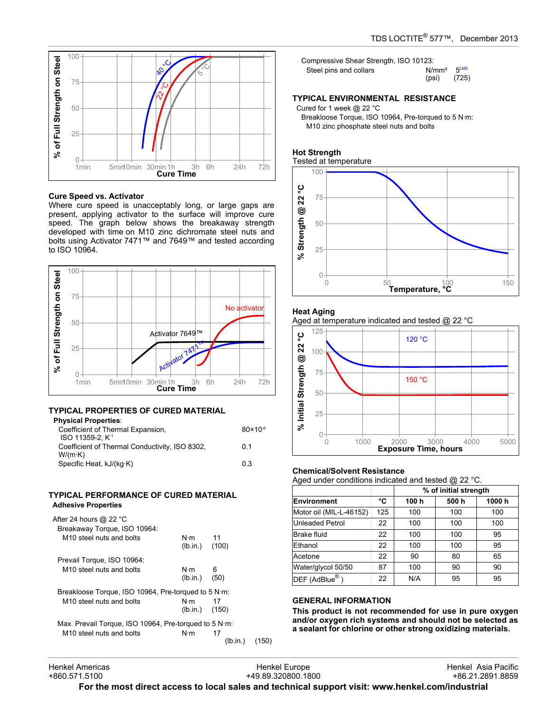

## **Cure Speed vs. Activator**

Where cure speed is unacceptably long, or large gaps are present, applying activator to the surface will improve cure speed. The graph below shows the breakaway strength developed with time on M10 zinc dichromate steel nuts and bolts using Activator 7471™ and 7649™ and tested according to ISO 10964.



# **TYPICAL PROPERTIES OF CURED MATERIAL**

| <b>Physical Properties:</b>                    |                     |
|------------------------------------------------|---------------------|
| Coefficient of Thermal Expansion,              | $80 \times 10^{-6}$ |
| ISO 11359-2. K <sup>-1</sup>                   |                     |
| Coefficient of Thermal Conductivity, ISO 8302, | 0 1                 |
| W/(m·K)                                        |                     |
| Specific Heat, kJ/(kg·K)                       | 03                  |
|                                                |                     |

#### **TYPICAL PERFORMANCE OF CURED MATERIAL Adhesive Properties**

| After 24 hours @ 22 $^{\circ}$ C<br>Breakaway Torque, ISO 10964: |                                    |           |
|------------------------------------------------------------------|------------------------------------|-----------|
| M <sub>10</sub> steel nuts and bolts                             | $N \cdot m$ 11<br>$(lb.in.)$ (100) |           |
| Prevail Torque, ISO 10964:                                       |                                    |           |
| M <sub>10</sub> steel nuts and bolts                             | N·m<br>(lb.in.)                    | 6<br>(50) |
| Breakloose Torque, ISO 10964, Pre-torqued to 5 N·m:              |                                    |           |
| M <sub>10</sub> steel nuts and bolts                             | N⋅m<br>$(lb.in.)$ (150)            | 17        |
| Max. Prevail Torque, ISO 10964, Pre-torqued to 5 N·m:            |                                    |           |
| M <sub>10</sub> steel nuts and bolts                             | $N \cdot m$                        | 17        |
|                                                                  |                                    | (Ib.      |

| Steel pins and collars | $N/mm^2$ 5LMS |  |
|------------------------|---------------|--|
|                        | $(psi)$ (725) |  |

## **TYPICAL ENVIRONMENTAL RESISTANCE**

Cured for 1 week @ 22 °C

Breakloose Torque, ISO 10964, Pre-torqued to 5 N·m: M10 zinc phosphate steel nuts and bolts

#### **Hot Strength** Tested at temperature



## **Heat Aging**





## **Chemical/Solvent Resistance**

Aged under conditions indicated and tested @ 22 °C.

|                         |     | % of initial strength |      |       |
|-------------------------|-----|-----------------------|------|-------|
| <b>Environment</b>      | °C  | 100 h                 | 500h | 1000h |
| Motor oil (MIL-L-46152) | 125 | 100                   | 100  | 100   |
| <b>Unleaded Petrol</b>  | 22  | 100                   | 100  | 100   |
| Brake fluid             | 22  | 100                   | 100  | 95    |
| Ethanol                 | 22  | 100                   | 100  | 95    |
| Acetone                 | 22  | 90                    | 80   | 65    |
| Water/glycol 50/50      | 87  | 100                   | 90   | 90    |
| $DEF$ (AdBlue®)         | 22  | N/A                   | 95   | 95    |

## **GENERAL INFORMATION**

**This product is not recommended for use in pure oxygen and/or oxygen rich systems and should not be selected as a sealant for chlorine or other strong oxidizing materials.**

 $(150)$ 

**For the most direct access to local sales and technical support visit: www.henkel.com/industrial**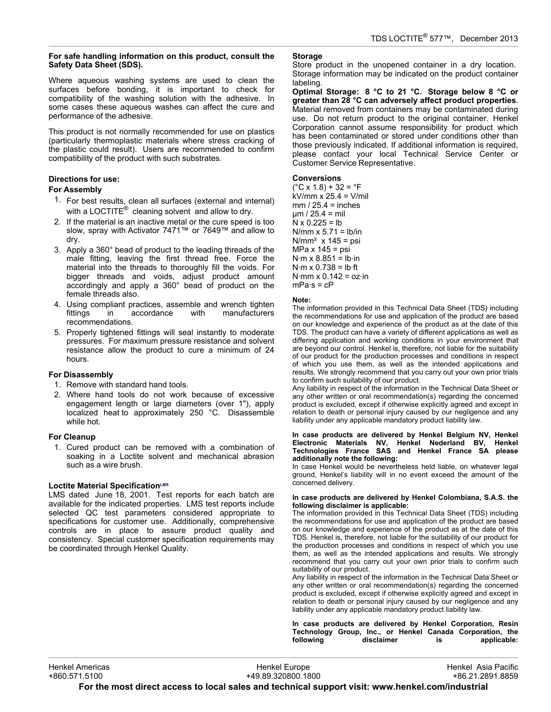## **For safe handling information on this product, consult the Safety Data Sheet (SDS).**

Where aqueous washing systems are used to clean the surfaces before bonding, it is important to check for compatibility of the washing solution with the adhesive. In some cases these aqueous washes can affect the cure and performance of the adhesive.

This product is not normally recommended for use on plastics (particularly thermoplastic materials where stress cracking of the plastic could result). Users are recommended to confirm compatibility of the product with such substrates.

# **Directions for use:**

# **For Assembly**

- 1. For best results, clean all surfaces (external and internal) with a LOCTITE $^{\circledR}$  cleaning solvent and allow to dry.
- 2. If the material is an inactive metal or the cure speed is too slow, spray with Activator 7471™ or 7649™ and allow to dry.
- 3. Apply a 360° bead of product to the leading threads of the male fitting, leaving the first thread free. Force the material into the threads to thoroughly fill the voids. For bigger threads and voids, adjust product amount accordingly and apply a 360° bead of product on the female threads also.
- 4. Using compliant practices, assemble and wrench tighten fittings in accordance with manufacturers recommendations.
- 5. Properly tightened fittings will seal instantly to moderate pressures. For maximum pressure resistance and solvent resistance allow the product to cure a minimum of 24 hours.

# **For Disassembly**

- 1. Remove with standard hand tools.
- 2. Where hand tools do not work because of excessive engagement length or large diameters (over 1"), apply localized heat to approximately 250 °C. Disassemble while hot.

# **For Cleanup**

1. Cured product can be removed with a combination of soaking in a Loctite solvent and mechanical abrasion such as a wire brush.

# **Loctite Material SpecificationLMS**

LMS dated June 18, 2001. Test reports for each batch are available for the indicated properties. LMS test reports include selected QC test parameters considered appropriate to specifications for customer use. Additionally, comprehensive controls are in place to assure product quality and consistency. Special customer specification requirements may be coordinated through Henkel Quality.

# **Storage**

Store product in the unopened container in a dry location. Storage information may be indicated on the product container labeling.

**Optimal Storage: 8 °C to 21 °C. Storage below 8 °C or greater than 28 °C can adversely affect product properties**. Material removed from containers may be contaminated during use. Do not return product to the original container. Henkel Corporation cannot assume responsibility for product which has been contaminated or stored under conditions other than those previously indicated. If additional information is required, please contact your local Technical Service Center or Customer Service Representative.

# **Conversions**

 $(^{\circ}C \times 1.8) + 32 = ^{\circ}F$ kV/mm x 25.4 = V/mil  $mm / 25.4 = inches$ µm / 25.4 = mil  $N \times 0.225 = lb$ N/mm  $x$  5.71 = lb/in  $N/mm^2$  x 145 = psi MPa x 145 = psi  $N·m \times 8.851 = lb·in$  $N·m \times 0.738 = lb·ft$ N $\cdot$ mm x 0.142 = oz $\cdot$ in  $mPa·s = cP$ 

## **Note:**

The information provided in this Technical Data Sheet (TDS) including the recommendations for use and application of the product are based on our knowledge and experience of the product as at the date of this TDS. The product can have a variety of different applications as well as differing application and working conditions in your environment that are beyond our control. Henkel is, therefore, not liable for the suitability of our product for the production processes and conditions in respect of which you use them, as well as the intended applications and results. We strongly recommend that you carry out your own prior trials to confirm such suitability of our product.

Any liability in respect of the information in the Technical Data Sheet or any other written or oral recommendation(s) regarding the concerned product is excluded, except if otherwise explicitly agreed and except in relation to death or personal injury caused by our negligence and any liability under any applicable mandatory product liability law.

#### **In case products are delivered by Henkel Belgium NV, Henkel Electronic Materials NV, Henkel Nederland BV, Henkel Technologies France SAS and Henkel France SA please additionally note the following:**

In case Henkel would be nevertheless held liable, on whatever legal ground, Henkel's liability will in no event exceed the amount of the concerned delivery.

#### **In case products are delivered by Henkel Colombiana, S.A.S. the following disclaimer is applicable:**

The information provided in this Technical Data Sheet (TDS) including the recommendations for use and application of the product are based on our knowledge and experience of the product as at the date of this TDS. Henkel is, therefore, not liable for the suitability of our product for the production processes and conditions in respect of which you use them, as well as the intended applications and results. We strongly recommend that you carry out your own prior trials to confirm such suitability of our product.

Any liability in respect of the information in the Technical Data Sheet or any other written or oral recommendation(s) regarding the concerned product is excluded, except if otherwise explicitly agreed and except in relation to death or personal injury caused by our negligence and any liability under any applicable mandatory product liability law.

**In case products are delivered by Henkel Corporation, Resin Technology Group, Inc., or Henkel Canada Corporation, the following disclaimer is applicable:**